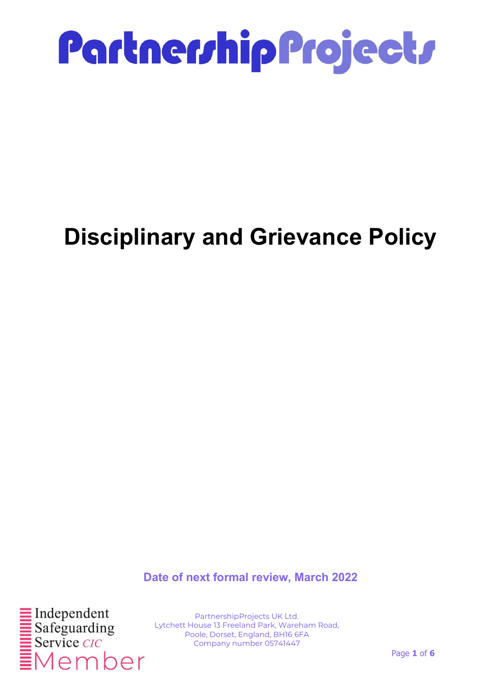

### Disciplinary and Grievance Policy

Date of next formal review, March 2022



PartnershipProjects UK Ltd. Lytchett House 13 Freeland Park, Wareham Road, Poole, Dorset, England, BH16 6FA Company number 05741447

Page 1 of 6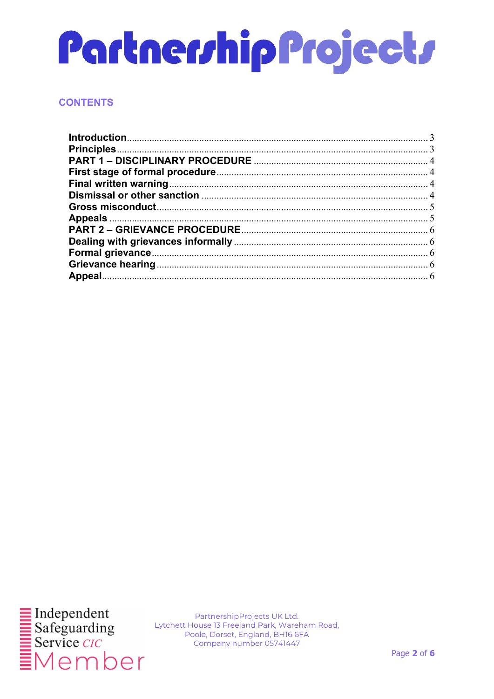#### **CONTENTS**

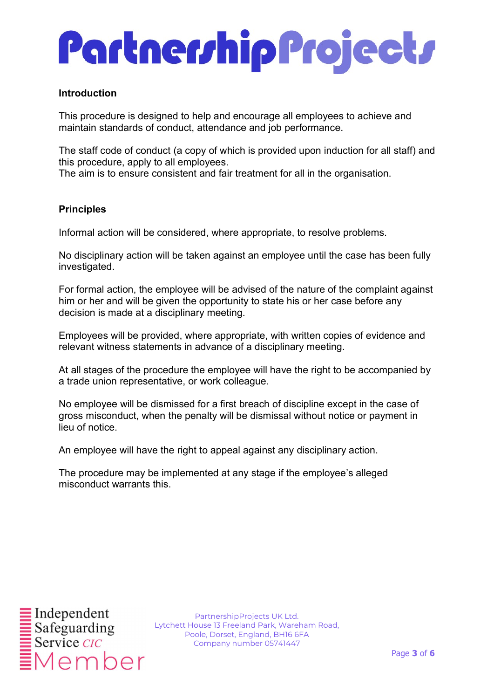#### Introduction

This procedure is designed to help and encourage all employees to achieve and maintain standards of conduct, attendance and job performance.

The staff code of conduct (a copy of which is provided upon induction for all staff) and this procedure, apply to all employees.

The aim is to ensure consistent and fair treatment for all in the organisation.

#### **Principles**

Informal action will be considered, where appropriate, to resolve problems.

No disciplinary action will be taken against an employee until the case has been fully investigated.

For formal action, the employee will be advised of the nature of the complaint against him or her and will be given the opportunity to state his or her case before any decision is made at a disciplinary meeting.

Employees will be provided, where appropriate, with written copies of evidence and relevant witness statements in advance of a disciplinary meeting.

At all stages of the procedure the employee will have the right to be accompanied by a trade union representative, or work colleague.

No employee will be dismissed for a first breach of discipline except in the case of gross misconduct, when the penalty will be dismissal without notice or payment in lieu of notice.

An employee will have the right to appeal against any disciplinary action.

The procedure may be implemented at any stage if the employee's alleged misconduct warrants this.

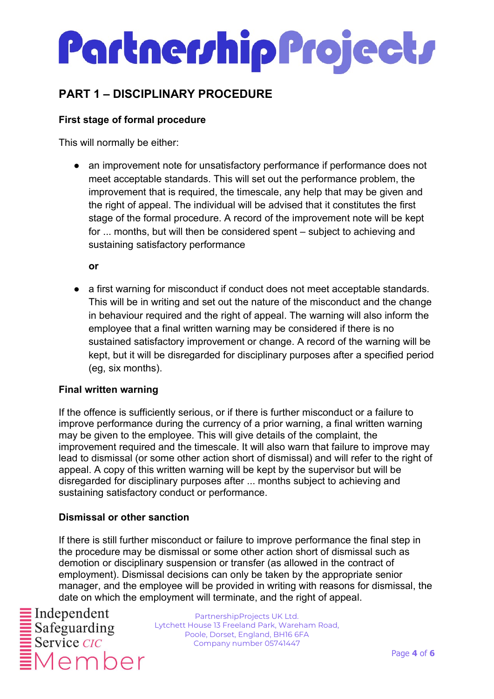### PART 1 – DISCIPLINARY PROCEDURE

#### First stage of formal procedure

This will normally be either:

• an improvement note for unsatisfactory performance if performance does not meet acceptable standards. This will set out the performance problem, the improvement that is required, the timescale, any help that may be given and the right of appeal. The individual will be advised that it constitutes the first stage of the formal procedure. A record of the improvement note will be kept for ... months, but will then be considered spent – subject to achieving and sustaining satisfactory performance

or

● a first warning for misconduct if conduct does not meet acceptable standards. This will be in writing and set out the nature of the misconduct and the change in behaviour required and the right of appeal. The warning will also inform the employee that a final written warning may be considered if there is no sustained satisfactory improvement or change. A record of the warning will be kept, but it will be disregarded for disciplinary purposes after a specified period (eg, six months).

#### Final written warning

If the offence is sufficiently serious, or if there is further misconduct or a failure to improve performance during the currency of a prior warning, a final written warning may be given to the employee. This will give details of the complaint, the improvement required and the timescale. It will also warn that failure to improve may lead to dismissal (or some other action short of dismissal) and will refer to the right of appeal. A copy of this written warning will be kept by the supervisor but will be disregarded for disciplinary purposes after ... months subject to achieving and sustaining satisfactory conduct or performance.

#### Dismissal or other sanction

If there is still further misconduct or failure to improve performance the final step in the procedure may be dismissal or some other action short of dismissal such as demotion or disciplinary suspension or transfer (as allowed in the contract of employment). Dismissal decisions can only be taken by the appropriate senior manager, and the employee will be provided in writing with reasons for dismissal, the date on which the employment will terminate, and the right of appeal.

Member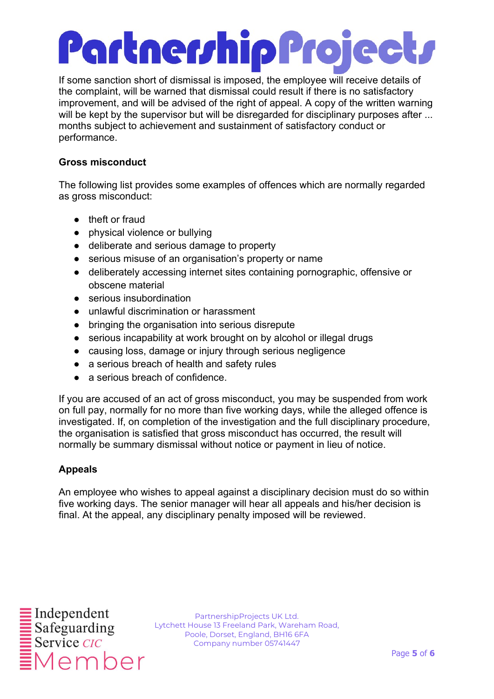If some sanction short of dismissal is imposed, the employee will receive details of the complaint, will be warned that dismissal could result if there is no satisfactory improvement, and will be advised of the right of appeal. A copy of the written warning will be kept by the supervisor but will be disregarded for disciplinary purposes after ... months subject to achievement and sustainment of satisfactory conduct or performance.

#### Gross misconduct

The following list provides some examples of offences which are normally regarded as gross misconduct:

- theft or fraud
- physical violence or bullying
- deliberate and serious damage to property
- serious misuse of an organisation's property or name
- deliberately accessing internet sites containing pornographic, offensive or obscene material
- serious insubordination
- unlawful discrimination or harassment
- bringing the organisation into serious disrepute
- serious incapability at work brought on by alcohol or illegal drugs
- causing loss, damage or injury through serious negligence
- a serious breach of health and safety rules
- a serious breach of confidence.

If you are accused of an act of gross misconduct, you may be suspended from work on full pay, normally for no more than five working days, while the alleged offence is investigated. If, on completion of the investigation and the full disciplinary procedure, the organisation is satisfied that gross misconduct has occurred, the result will normally be summary dismissal without notice or payment in lieu of notice.

#### Appeals

An employee who wishes to appeal against a disciplinary decision must do so within five working days. The senior manager will hear all appeals and his/her decision is final. At the appeal, any disciplinary penalty imposed will be reviewed.